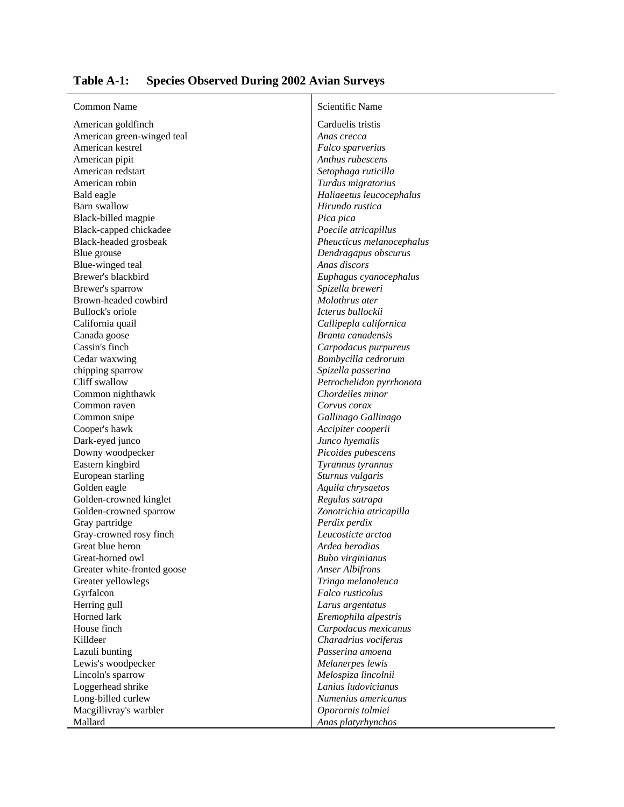| Table A-1: Species Observed During 2002 Avian Surveys |  |  |  |  |  |  |
|-------------------------------------------------------|--|--|--|--|--|--|
|-------------------------------------------------------|--|--|--|--|--|--|

| <b>Common Name</b>          |  |  |  |  |
|-----------------------------|--|--|--|--|
| American goldfinch          |  |  |  |  |
| American green-winged teal  |  |  |  |  |
| American kestrel            |  |  |  |  |
| American pipit              |  |  |  |  |
| American redstart           |  |  |  |  |
| American robin              |  |  |  |  |
| Bald eagle                  |  |  |  |  |
| Barn swallow                |  |  |  |  |
| Black-billed magpie         |  |  |  |  |
| Black-capped chickadee      |  |  |  |  |
| Black-headed grosbeak       |  |  |  |  |
| Blue grouse                 |  |  |  |  |
| Blue-winged teal            |  |  |  |  |
| Brewer's blackbird          |  |  |  |  |
| Brewer's sparrow            |  |  |  |  |
| Brown-headed cowbird        |  |  |  |  |
| <b>Bullock's oriole</b>     |  |  |  |  |
| California quail            |  |  |  |  |
| Canada goose                |  |  |  |  |
| Cassin's finch              |  |  |  |  |
| Cedar waxwing               |  |  |  |  |
| chipping sparrow            |  |  |  |  |
| Cliff swallow               |  |  |  |  |
| Common nighthawk            |  |  |  |  |
| Common raven                |  |  |  |  |
|                             |  |  |  |  |
| Common snipe                |  |  |  |  |
| Cooper's hawk               |  |  |  |  |
| Dark-eyed junco             |  |  |  |  |
| Downy woodpecker            |  |  |  |  |
| Eastern kingbird            |  |  |  |  |
| European starling           |  |  |  |  |
| Golden eagle                |  |  |  |  |
| Golden-crowned kinglet      |  |  |  |  |
| Golden-crowned sparrow      |  |  |  |  |
| Gray partridge              |  |  |  |  |
| Gray-crowned rosy finch     |  |  |  |  |
| Great blue heron            |  |  |  |  |
| Great-horned owl            |  |  |  |  |
| Greater white-fronted goose |  |  |  |  |
| Greater yellowlegs          |  |  |  |  |
| Gyrfalcon                   |  |  |  |  |
| Herring gull                |  |  |  |  |
| Horned lark                 |  |  |  |  |
| House finch                 |  |  |  |  |
| Killdeer                    |  |  |  |  |
| Lazuli bunting              |  |  |  |  |
| Lewis's woodpecker          |  |  |  |  |
| Lincoln's sparrow           |  |  |  |  |
| Loggerhead shrike           |  |  |  |  |

Scientific Name Carduelis tristis Anas crecca  $Falco$  sparverius Anthus *rubescens* Setophaga ruticilla American robin *Turdus migratorius* Bald eagle *Haliaeetus leucocephalus* Hirundo rustica Pica pica Poecile atricapillus Black-headed grosbeak *Pheucticus melanocephalus* **Dendragapus obscurus** Anas discors Euphagus cyanocephalus Brewer's sparrow *Spizella breweri*  $M$ olothrus ater Icterus bullockii California quail *Callipepla californica* Canada goose *Branta canadensis*  $Carpodacus purpureus$  $Bombycilla$  *cedrorum* chipping sparrow *Spizella passerina* Petrochelidon pyrrhonota  $Chordeiles minor$ Corvus corax  $Gallinago Gallinago$  $Accipiter cooperii$ Junco hyemalis Picoides pubescens **Tyrannus tyrannus** Sturnus vulgaris Golden eagle *Aquila chrysaetos*  $Regulus$  satrapa Golden-crowned sparrow *Zonotrichia atricapilla* Perdix perdix Leucosticte arctoa Ardea herodias Great-horned owl *Bubo virginianus* Anser Albifrons Tringa melanoleuca Falco rusticolus Larus argentatus  $E$ remophila alpestris House finch *Carpodacus mexicanus* Killdeer *Charadrius vociferus* Passerina amoena Melanerpes lewis Lincoln's sparrow *Melospiza lincolnii* Loggerhead shrike *Lanius ludovicianus* Long-billed curlew *Numenius americanus* Macgillivray's warbler *Oporornis tolmiei* Mallard *Anas platyrhynchos*